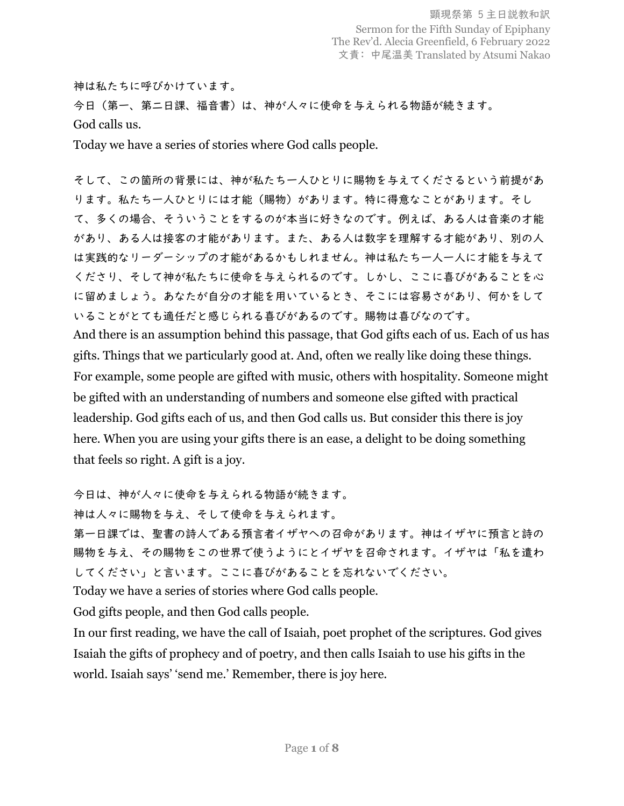## 神は私たちに呼びかけています。

今日(第一、第二日課、福音書)は、神が人々に使命を与えられる物語が続きます。 God calls us.

Today we have a series of stories where God calls people.

そして、この箇所の背景には、神が私たち一人ひとりに賜物を与えてくださるという前提があ ります。私たち一人ひとりには才能(賜物)があります。特に得意なことがあります。そし て、多くの場合、そういうことをするのが本当に好きなのです。例えば、ある人は音楽の才能 があり、ある人は接客の才能があります。また、ある人は数字を理解する才能があり、別の人 は実践的なリーダーシップの才能があるかもしれません。神は私たち一人一人に才能を与えて くださり、そして神が私たちに使命を与えられるのです。しかし、ここに喜びがあることを心 に留めましょう。あなたが自分の才能を用いているとき、そこには容易さがあり、何かをして いることがとても適任だと感じられる喜びがあるのです。賜物は喜びなのです。 And there is an assumption behind this passage, that God gifts each of us. Each of us has gifts. Things that we particularly good at. And, often we really like doing these things. For example, some people are gifted with music, others with hospitality. Someone might

be gifted with an understanding of numbers and someone else gifted with practical leadership. God gifts each of us, and then God calls us. But consider this there is joy here. When you are using your gifts there is an ease, a delight to be doing something that feels so right. A gift is a joy.

今日は、神が人々に使命を与えられる物語が続きます。

神は人々に賜物を与え、そして使命を与えられます。

第一日課では、聖書の詩人である預言者イザヤへの召命があります。神はイザヤに預言と詩の 賜物を与え、その賜物をこの世界で使うようにとイザヤを召命されます。イザヤは「私を遣わ してください」と言います。ここに喜びがあることを忘れないでください。

Today we have a series of stories where God calls people.

God gifts people, and then God calls people.

In our first reading, we have the call of Isaiah, poet prophet of the scriptures. God gives Isaiah the gifts of prophecy and of poetry, and then calls Isaiah to use his gifts in the world. Isaiah says' 'send me.' Remember, there is joy here.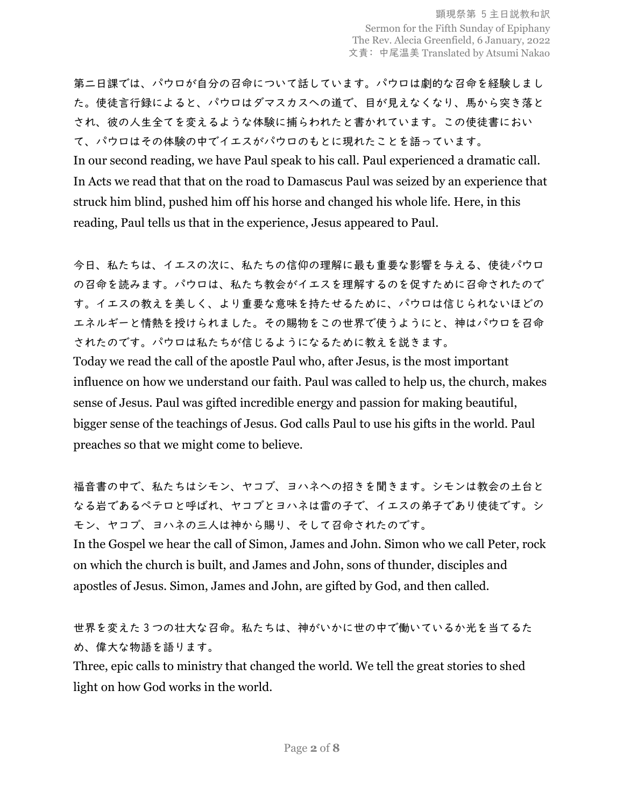第二日課では、パウロが自分の召命について話しています。パウロは劇的な召命を経験しまし た。使徒言行録によると、パウロはダマスカスへの道で、目が見えなくなり、馬から突き落と され、彼の人生全てを変えるような体験に捕らわれたと書かれています。この使徒書におい て、パウロはその体験の中でイエスがパウロのもとに現れたことを語っています。

In our second reading, we have Paul speak to his call. Paul experienced a dramatic call. In Acts we read that that on the road to Damascus Paul was seized by an experience that struck him blind, pushed him off his horse and changed his whole life. Here, in this reading, Paul tells us that in the experience, Jesus appeared to Paul.

今日、私たちは、イエスの次に、私たちの信仰の理解に最も重要な影響を与える、使徒パウロ の召命を読みます。パウロは、私たち教会がイエスを理解するのを促すために召命されたので す。イエスの教えを美しく、より重要な意味を持たせるために、パウロは信じられないほどの エネルギーと情熱を授けられました。その賜物をこの世界で使うようにと、神はパウロを召命 されたのです。パウロは私たちが信じるようになるために教えを説きます。

Today we read the call of the apostle Paul who, after Jesus, is the most important influence on how we understand our faith. Paul was called to help us, the church, makes sense of Jesus. Paul was gifted incredible energy and passion for making beautiful, bigger sense of the teachings of Jesus. God calls Paul to use his gifts in the world. Paul preaches so that we might come to believe.

福音書の中で、私たちはシモン、ヤコブ、ヨハネへの招きを聞きます。シモンは教会の土台と なる岩であるペテロと呼ばれ、ヤコブとヨハネは雷の子で、イエスの弟子であり使徒です。シ モン、ヤコブ、ヨハネの三人は神から賜り、そして召命されたのです。

In the Gospel we hear the call of Simon, James and John. Simon who we call Peter, rock on which the church is built, and James and John, sons of thunder, disciples and apostles of Jesus. Simon, James and John, are gifted by God, and then called.

世界を変えた 3 つの壮大な召命。私たちは、神がいかに世の中で働いているか光を当てるた め、偉大な物語を語ります。

Three, epic calls to ministry that changed the world. We tell the great stories to shed light on how God works in the world.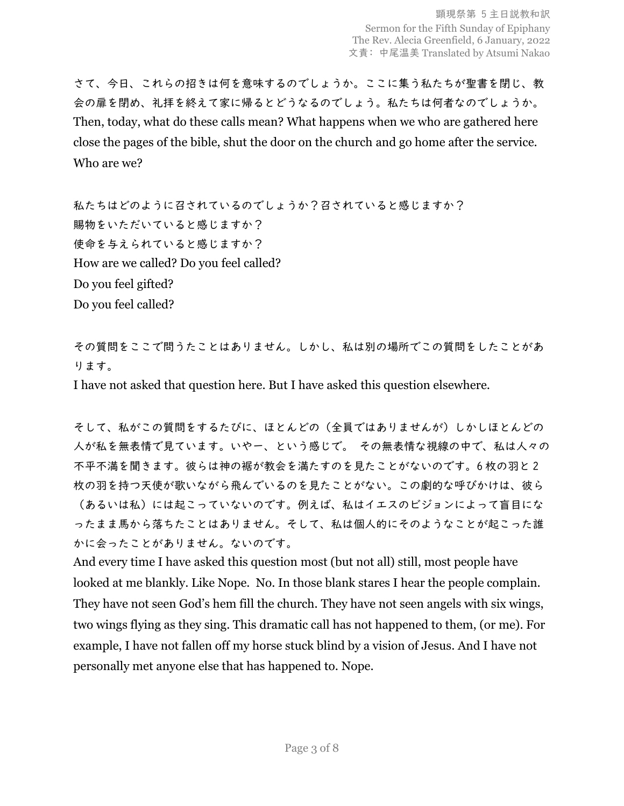顕現祭第 5 主日説教和訳 Sermon for the Fifth Sunday of Epiphany The Rev. Alecia Greenfield, 6 January, 2022 文責: 中尾温美 Translated by Atsumi Nakao

さて、今日、これらの招きは何を意味するのでしょうか。ここに集う私たちが聖書を閉じ、教 会の扉を閉め、礼拝を終えて家に帰るとどうなるのでしょう。私たちは何者なのでしょうか。 Then, today, what do these calls mean? What happens when we who are gathered here close the pages of the bible, shut the door on the church and go home after the service. Who are we?

私たちはどのように召されているのでしょうか?召されていると感じますか? 賜物をいただいていると感じますか? 使命を与えられていると感じますか? How are we called? Do you feel called? Do you feel gifted? Do you feel called?

その質問をここで問うたことはありません。しかし、私は別の場所でこの質問をしたことがあ ります。

I have not asked that question here. But I have asked this question elsewhere.

そして、私がこの質問をするたびに、ほとんどの(全員ではありませんが)しかしほとんどの 人が私を無表情で見ています。いやー、という感じで。 その無表情な視線の中で、私は人々の 不平不満を聞きます。彼らは神の裾が教会を満たすのを見たことがないのです。6 枚の羽と 2 枚の羽を持つ天使が歌いながら飛んでいるのを見たことがない。この劇的な呼びかけは、彼ら (あるいは私)には起こっていないのです。例えば、私はイエスのビジョンによって盲目にな ったまま馬から落ちたことはありません。そして、私は個人的にそのようなことが起こった誰 かに会ったことがありません。ないのです。

And every time I have asked this question most (but not all) still, most people have looked at me blankly. Like Nope. No. In those blank stares I hear the people complain. They have not seen God's hem fill the church. They have not seen angels with six wings, two wings flying as they sing. This dramatic call has not happened to them, (or me). For example, I have not fallen off my horse stuck blind by a vision of Jesus. And I have not personally met anyone else that has happened to. Nope.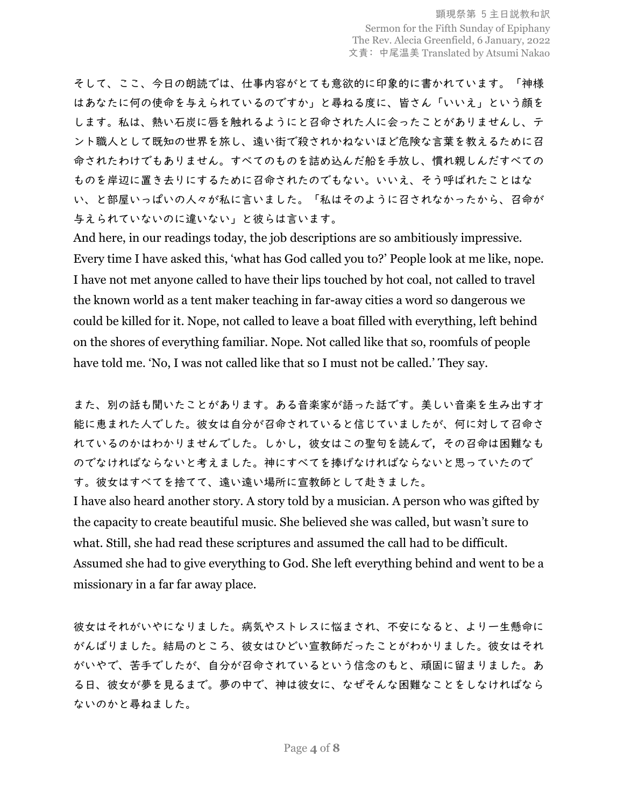そして、ここ、今日の朗読では、仕事内容がとても意欲的に印象的に書かれています。「神様 はあなたに何の使命を与えられているのですか」と尋ねる度に、皆さん「いいえ」という顔を します。私は、熱い石炭に唇を触れるようにと召命された人に会ったことがありませんし、テ ント職人として既知の世界を旅し、遠い街で殺されかねないほど危険な言葉を教えるために召 命されたわけでもありません。すべてのものを詰め込んだ船を手放し、慣れ親しんだすべての ものを岸辺に置き去りにするために召命されたのでもない。いいえ、そう呼ばれたことはな い、と部屋いっぱいの人々が私に言いました。「私はそのように召されなかったから、召命が 与えられていないのに違いない」と彼らは言います。

And here, in our readings today, the job descriptions are so ambitiously impressive. Every time I have asked this, 'what has God called you to?' People look at me like, nope. I have not met anyone called to have their lips touched by hot coal, not called to travel the known world as a tent maker teaching in far-away cities a word so dangerous we could be killed for it. Nope, not called to leave a boat filled with everything, left behind on the shores of everything familiar. Nope. Not called like that so, roomfuls of people have told me. 'No, I was not called like that so I must not be called.' They say.

また、別の話も聞いたことがあります。ある音楽家が語った話です。美しい音楽を生み出す才 能に恵まれた人でした。彼女は自分が召命されていると信じていましたが、何に対して召命さ れているのかはわかりませんでした。しかし,彼女はこの聖句を読んで,その召命は困難なも のでなければならないと考えました。神にすべてを捧げなければならないと思っていたので す。彼女はすべてを捨てて、遠い遠い場所に宣教師として赴きました。

I have also heard another story. A story told by a musician. A person who was gifted by the capacity to create beautiful music. She believed she was called, but wasn't sure to what. Still, she had read these scriptures and assumed the call had to be difficult. Assumed she had to give everything to God. She left everything behind and went to be a missionary in a far far away place.

彼女はそれがいやになりました。病気やストレスに悩まされ、不安になると、より一生懸命に がんばりました。結局のところ、彼女はひどい宣教師だったことがわかりました。彼女はそれ がいやで、苦手でしたが、自分が召命されているという信念のもと、頑固に留まりました。あ る日、彼女が夢を見るまで。夢の中で、神は彼女に、なぜそんな困難なことをしなければなら ないのかと尋ねました。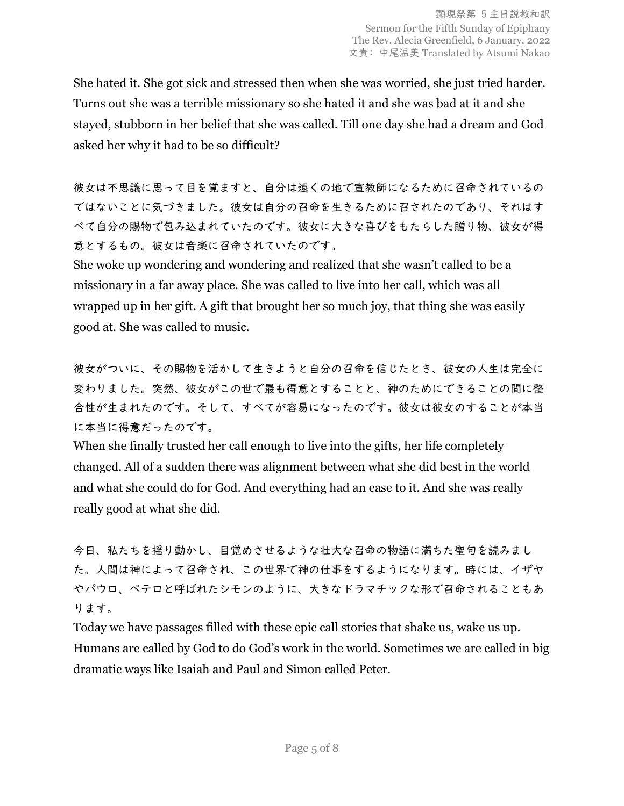She hated it. She got sick and stressed then when she was worried, she just tried harder. Turns out she was a terrible missionary so she hated it and she was bad at it and she stayed, stubborn in her belief that she was called. Till one day she had a dream and God asked her why it had to be so difficult?

彼女は不思議に思って目を覚ますと、自分は遠くの地で宣教師になるために召命されているの ではないことに気づきました。彼女は自分の召命を生きるために召されたのであり、それはす べて自分の賜物で包み込まれていたのです。彼女に大きな喜びをもたらした贈り物、彼女が得 意とするもの。彼女は音楽に召命されていたのです。

She woke up wondering and wondering and realized that she wasn't called to be a missionary in a far away place. She was called to live into her call, which was all wrapped up in her gift. A gift that brought her so much joy, that thing she was easily good at. She was called to music.

彼女がついに、その賜物を活かして生きようと自分の召命を信じたとき、彼女の人生は完全に 変わりました。突然、彼女がこの世で最も得意とすることと、神のためにできることの間に整 合性が生まれたのです。そして、すべてが容易になったのです。彼女は彼女のすることが本当 に本当に得意だったのです。

When she finally trusted her call enough to live into the gifts, her life completely changed. All of a sudden there was alignment between what she did best in the world and what she could do for God. And everything had an ease to it. And she was really really good at what she did.

今日、私たちを揺り動かし、目覚めさせるような壮大な召命の物語に満ちた聖句を読みまし た。人間は神によって召命され、この世界で神の仕事をするようになります。時には、イザヤ やパウロ、ペテロと呼ばれたシモンのように、大きなドラマチックな形で召命されることもあ ります。

Today we have passages filled with these epic call stories that shake us, wake us up. Humans are called by God to do God's work in the world. Sometimes we are called in big dramatic ways like Isaiah and Paul and Simon called Peter.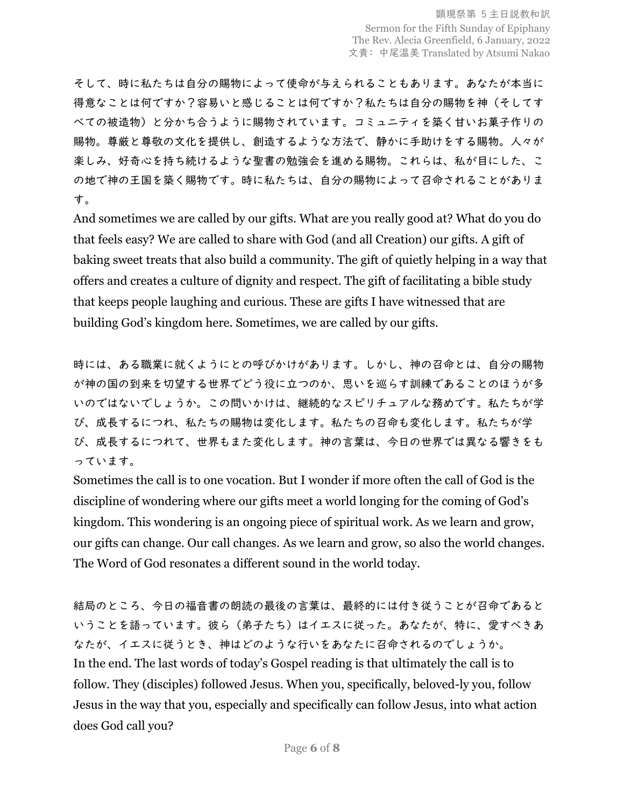そして、時に私たちは自分の賜物によって使命が与えられることもあります。あなたが本当に 得意なことは何ですか?私たちか?私たちは自分の賜物を神(そしてす べての被造物)と分かち合うように賜物されています。コミュニティを築く甘いお菓子作りの 賜物。尊厳と尊敬の文化を提供し、創造するような方法で、静かに手助けをする賜物。人々が 楽しみ、好奇心を持ち続けるような聖書の勉強会を進める賜物。これらは、私が目にした、こ の地で神の王国を築く賜物です。時に私たちは、自分の賜物によって召命されることがありま す。

And sometimes we are called by our gifts. What are you really good at? What do you do that feels easy? We are called to share with God (and all Creation) our gifts. A gift of baking sweet treats that also build a community. The gift of quietly helping in a way that offers and creates a culture of dignity and respect. The gift of facilitating a bible study that keeps people laughing and curious. These are gifts I have witnessed that are building God's kingdom here. Sometimes, we are called by our gifts.

時には、ある職業に就くようにとの呼びかけがあります。しかし、神の召命とは、自分の賜物 が神の国の到来を切望する世界でどう役に立つのか、思いを巡らす訓練であることのほうが多 いのではないでしょうか。この問いかけは、継続的なスピリチュアルな務めです。私たちが学 び、成長するにつれ、私たちの賜物は変化します。私たちの召命も変化します。私たちが学 び、成長するにつれて、世界もまた変化します。神の言葉は、今日の世界では異なる響きをも っています。

Sometimes the call is to one vocation. But I wonder if more often the call of God is the discipline of wondering where our gifts meet a world longing for the coming of God's kingdom. This wondering is an ongoing piece of spiritual work. As we learn and grow, our gifts can change. Our call changes. As we learn and grow, so also the world changes. The Word of God resonates a different sound in the world today.

結局のところ、今日の福音書の朗読の最後の言葉は、最終的には付き従うことが召命であると いうことを語っています。彼ら(弟子たち)はイエスに従った。あなたが、特に、愛すべきあ なたが、イエスに従うとき、神はどのような行いをあなたに召命されるのでしょうか。 In the end. The last words of today's Gospel reading is that ultimately the call is to follow. They (disciples) followed Jesus. When you, specifically, beloved-ly you, follow Jesus in the way that you, especially and specifically can follow Jesus, into what action does God call you?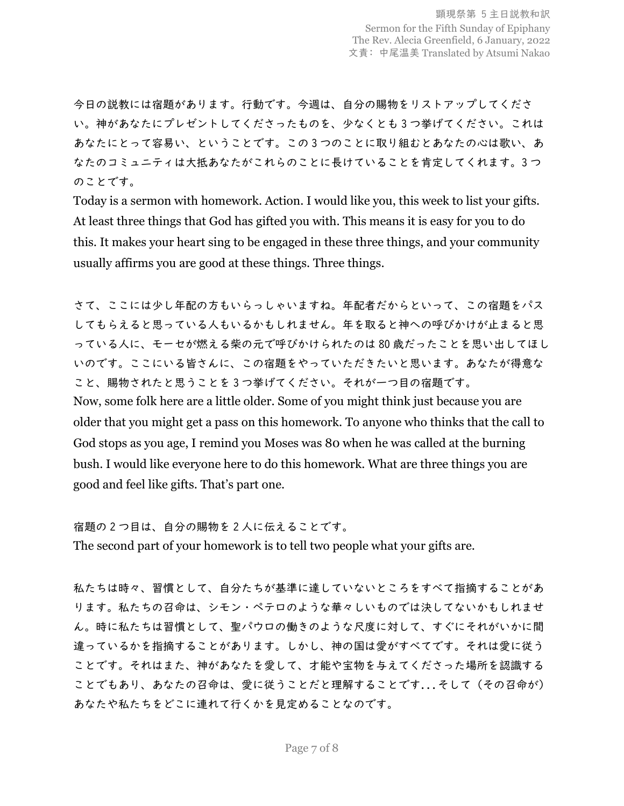今日の説教には宿題があります。行動です。今週は、自分の賜物をリストアップしてくださ い。神があなたにプレゼントしてくださったものを、少なくとも 3 つ挙げてください。これは あなたにとって容易い、ということです。この 3 つのことに取り組むとあなたの心は歌い、あ なたのコミュニティは大抵あなたがこれらのことに長けていることを肯定してくれます。3 つ のことです。

Today is a sermon with homework. Action. I would like you, this week to list your gifts. At least three things that God has gifted you with. This means it is easy for you to do this. It makes your heart sing to be engaged in these three things, and your community usually affirms you are good at these things. Three things.

さて、ここには少し年配の方もいらっしゃいますね。年配者だからといって、この宿題をパス してもらえると思っている人もいるかもしれません。年を取ると神への呼びかけが止まると思 っている人に、モーセが燃える柴の元で呼びかけられたのは 80 歳だったことを思い出してほし いのです。ここにいる皆さんに、この宿題をやっていただきたいと思います。あなたが得意な こと、賜物されたと思うことを 3 つ挙げてください。それが一つ目の宿題です。 Now, some folk here are a little older. Some of you might think just because you are older that you might get a pass on this homework. To anyone who thinks that the call to God stops as you age, I remind you Moses was 80 when he was called at the burning bush. I would like everyone here to do this homework. What are three things you are good and feel like gifts. That's part one.

宿題の 2 つ目は、自分の賜物を 2 人に伝えることです。

The second part of your homework is to tell two people what your gifts are.

私たちは時々、習慣として、自分たちが基準に達していないところをすべて指摘することがあ ります。私たちの召命は、シモン・ペテロのような華々しいものでは決してないかもしれませ ん。時に私たちは習慣として、聖パウロの働きのような尺度に対して、すぐにそれがいかに間 違っているかを指摘することがあります。しかし、神の国は愛がすべてです。それは愛に従う ことです。それはまた、神があなたを愛して、才能や宝物を与えてくださった場所を認識する ことでもあり、あなたの召命は、愛に従うことだと理解することです...そして(その召命が) あなたや私たちをどこに連れて行くかを見定めることなのです。